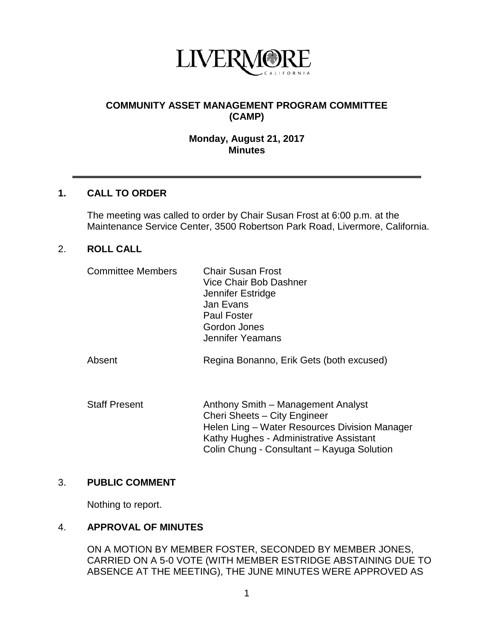

## **COMMUNITY ASSET MANAGEMENT PROGRAM COMMITTEE (CAMP)**

#### **Monday, August 21, 2017 Minutes**

### **1. CALL TO ORDER**

The meeting was called to order by Chair Susan Frost at 6:00 p.m. at the Maintenance Service Center, 3500 Robertson Park Road, Livermore, California.

#### 2. **ROLL CALL**

| <b>Committee Members</b> | <b>Chair Susan Frost</b><br>Vice Chair Bob Dashner<br>Jennifer Estridge<br>Jan Evans<br><b>Paul Foster</b><br>Gordon Jones<br>Jennifer Yeamans                 |
|--------------------------|----------------------------------------------------------------------------------------------------------------------------------------------------------------|
| Absent                   | Regina Bonanno, Erik Gets (both excused)                                                                                                                       |
| <b>Staff Present</b>     | Anthony Smith - Management Analyst<br>Cheri Sheets - City Engineer<br>Helen Ling - Water Resources Division Manager<br>Kathy Hughes - Administrative Assistant |

### 3. **PUBLIC COMMENT**

Nothing to report.

### 4. **APPROVAL OF MINUTES**

ON A MOTION BY MEMBER FOSTER, SECONDED BY MEMBER JONES, CARRIED ON A 5-0 VOTE (WITH MEMBER ESTRIDGE ABSTAINING DUE TO ABSENCE AT THE MEETING), THE JUNE MINUTES WERE APPROVED AS

Colin Chung - Consultant – Kayuga Solution